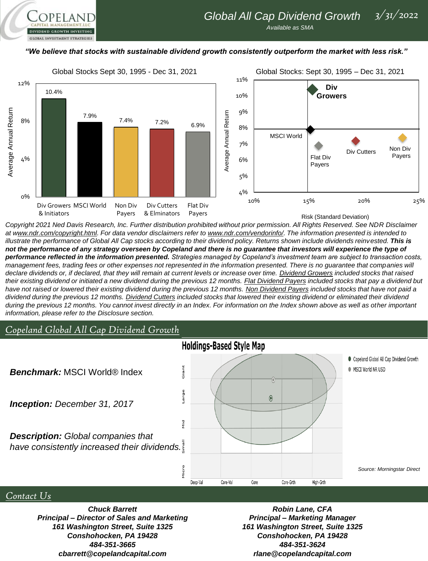



*Copyright 2021 Ned Davis Research, Inc. Further distribution prohibited without prior permission. All Rights Reserved. See NDR Disclaimer at www.ndr.com/copyright.html. For data vendor disclaimers refer to www.ndr.com/vendorinfo/. The information presented is intended to*  illustrate the performance of Global All Cap stocks according to their dividend policy. Returns shown include dividends reinvested. This is *not the performance of any strategy overseen by Copeland and there is no guarantee that investors will experience the type of performance reflected in the information presented. Strategies managed by Copeland's investment team are subject to transaction costs,*  management fees, trading fees or other expenses not represented in the information presented. There is no guarantee that companies will *declare dividends or, if declared, that they will remain at current levels or increase over time. Dividend Growers included stocks that raised their existing dividend or initiated a new dividend during the previous 12 months. Flat Dividend Payers included stocks that pay a dividend but*  have not raised or lowered their existing dividend during the previous 12 months. Non Dividend Payers included stocks that have not paid a *dividend during the previous 12 months. Dividend Cutters included stocks that lowered their existing dividend or eliminated their dividend*  during the previous 12 months. You cannot invest directly in an Index. For information on the Index shown above as well as other *important information, please refer to the Disclosure section.*

## *Copeland Global All Cap Dividend Growth*

**GLOBAL INVESTMENT STRATEGIES** 



## *Contact Us*

*Chuck Barrett Principal – Director of Sales and Marketing 161 Washington Street, Suite 1325 Conshohocken, PA 19428 484-351-3665 cbarrett@copelandcapital.com*

*Robin Lane, CFA Principal – Marketing Manager 161 Washington Street, Suite 1325 Conshohocken, PA 19428 484-351-3624 rlane@copelandcapital.com*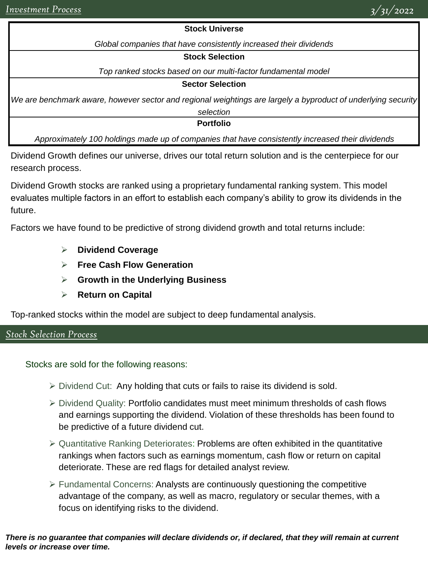## **Stock Universe**

*Global companies that have consistently increased their dividends*

#### **Stock Selection**

*Top ranked stocks based on our multi-factor fundamental model*

#### **Sector Selection**

*We are benchmark aware, however sector and regional weightings are largely a byproduct of underlying security* 

*selection*

**Portfolio**

*Approximately 100 holdings made up of companies that have consistently increased their dividends*

Dividend Growth defines our universe, drives our total return solution and is the centerpiece for our research process.

Dividend Growth stocks are ranked using a proprietary fundamental ranking system. This model evaluates multiple factors in an effort to establish each company's ability to grow its dividends in the future.

Factors we have found to be predictive of strong dividend growth and total returns include:

- ➢ **Dividend Coverage**
- ➢ **Free Cash Flow Generation**
- ➢ **Growth in the Underlying Business**
- ➢ **Return on Capital**

Top-ranked stocks within the model are subject to deep fundamental analysis.

# *Stock Selection Process*

Stocks are sold for the following reasons:

- $\triangleright$  Dividend Cut: Any holding that cuts or fails to raise its dividend is sold.
- ➢ Dividend Quality: Portfolio candidates must meet minimum thresholds of cash flows and earnings supporting the dividend. Violation of these thresholds has been found to be predictive of a future dividend cut.
- $\triangleright$  Quantitative Ranking Deteriorates: Problems are often exhibited in the quantitative rankings when factors such as earnings momentum, cash flow or return on capital deteriorate. These are red flags for detailed analyst review.
- $\triangleright$  Fundamental Concerns: Analysts are continuously questioning the competitive advantage of the company, as well as macro, regulatory or secular themes, with a focus on identifying risks to the dividend.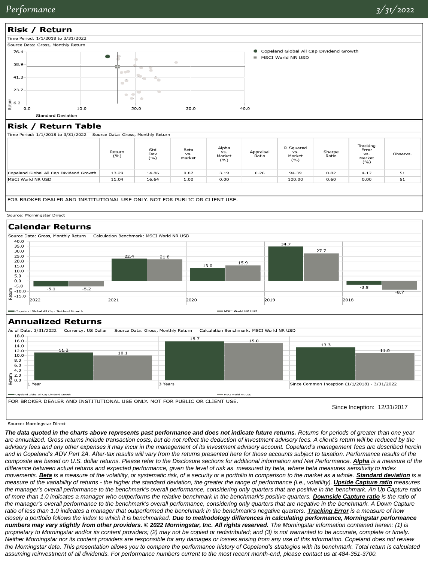

## Risk / Return Table

Time Period: 1/1/2018 to 3/31/2022 Source Data: Gross, Monthly Return

|                                         | Return<br>( %) | Std<br>Dev<br>(%) | Beta<br>VS.<br>Market | Alpha<br>VS.<br>Market<br>(%) | Appraisal<br>Ratio | R-Squared<br>VS.<br>Market<br>( %) | Sharpe<br>Ratio | Tracking<br>Error<br>VS.<br>Market<br>(%) | Observs. |
|-----------------------------------------|----------------|-------------------|-----------------------|-------------------------------|--------------------|------------------------------------|-----------------|-------------------------------------------|----------|
| Copeland Global All Cap Dividend Growth | 13.29          | 14.86             | 0.87                  | 3.19                          | 0.26               | 94.39                              | 0.82            | 4.17                                      | 51       |
| MSCI World NR USD                       | 11.04          | 16.64             | 1.00                  | 0.00                          |                    | 100.00                             | 0.60            | 0.00                                      | 51       |
|                                         |                |                   |                       |                               |                    |                                    |                 |                                           |          |

FOR BROKER DEALER AND INSTITUTIONAL USE ONLY. NOT FOR PUBLIC OR CLIENT USE.

#### Source: Morningstar Direct



## **Annualized Returns**



Source: Morningstar Direct

*The data quoted in the charts above represents past performance and does not indicate future returns. Returns for periods of greater than one year*  are annualized. Gross returns include transaction costs, but do not reflect the deduction of investment advisory fees. A client's return will be reduced by the *advisory fees and any other expenses it may incur in the management of its investment advisory account. Copeland's management fees are described herein and in Copeland's ADV Part 2A. After-tax results will vary from the returns presented here for those accounts subject to taxation. Performance results of the composite are based on U.S. dollar returns. Please refer to the Disclosure sections for additional information and Net Performance. Alpha is a measure of the difference between actual returns and expected performance, given the level of risk as measured by beta, where beta measures sensitivity to index movements.* **Beta** is a measure of the volatility, or systematic risk, of a security or a portfolio in comparison to the market as a whole. **Standard deviation** is a *measure of the variability of returns - the higher the standard deviation, the greater the range of performance (i.e., volatility). Upside Capture ratio measures the manager's overall performance to the benchmark's overall performance, considering only quarters that are positive in the benchmark. An Up Capture ratio of more than 1.0 indicates a manager who outperforms the relative benchmark in the benchmark's positive quarters. Downside Capture ratio is the ratio of*  the manager's overall performance to the benchmark's overall performance, considering only quarters that are negative in the benchmark. A Down Capture ratio of less than 1.0 indicates a manager that outperformed the benchmark in the benchmark's negative quarters. *Tracking Error* is a measure of how *closely a portfolio follows the index to which it is benchmarked. Due to methodology differences in calculating performance, Morningstar performance numbers may vary slightly from other providers.* © 2022 Morningstar, Inc. All rights reserved. The Morningstar information contained herein: (1) is *proprietary to Morningstar and/or its content providers; (2) may not be copied or redistributed; and (3) is not warranted to be accurate, complete or timely. Neither Morningstar nor its content providers are responsible for any damages or losses arising from any use of this information. Copeland does not review the Morningstar data. This presentation allows you to compare the performance history of Copeland's strategies with its benchmark. Total return is calculated assuming reinvestment of all dividends. For performance numbers current to the most recent month-end, please contact us at 484-351-3700.*